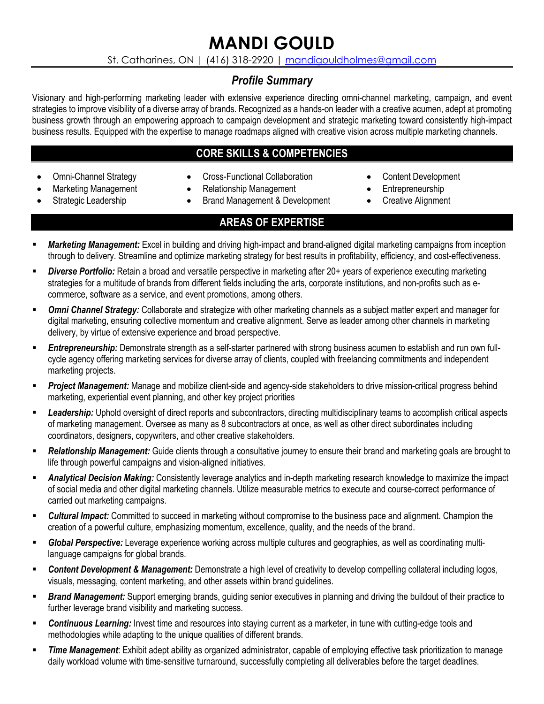# **MANDI GOULD**

St. Catharines, ON | (416) 318-2920 | mandigouldholmes@gmail.com

# *Profile Summary*

Visionary and high-performing marketing leader with extensive experience directing omni-channel marketing, campaign, and event strategies to improve visibility of a diverse array of brands. Recognized as a hands-on leader with a creative acumen, adept at promoting business growth through an empowering approach to campaign development and strategic marketing toward consistently high-impact business results. Equipped with the expertise to manage roadmaps aligned with creative vision across multiple marketing channels.

# **CORE SKILLS & COMPETENCIES**

- Omni-Channel Strategy
- Cross-Functional Collaboration
- Marketing Management Strategic Leadership
- Relationship Management
- Brand Management & Development

# **AREAS OF EXPERTISE**

- **Marketing Management:** Excel in building and driving high-impact and brand-aligned digital marketing campaigns from inception through to delivery. Streamline and optimize marketing strategy for best results in profitability, efficiency, and cost-effectiveness.
- **Diverse Portfolio:** Retain a broad and versatile perspective in marketing after 20+ years of experience executing marketing strategies for a multitude of brands from different fields including the arts, corporate institutions, and non-profits such as ecommerce, software as a service, and event promotions, among others.
- **Omni Channel Strategy:** Collaborate and strategize with other marketing channels as a subject matter expert and manager for digital marketing, ensuring collective momentum and creative alignment. Serve as leader among other channels in marketing delivery, by virtue of extensive experience and broad perspective.
- **Entrepreneurship:** Demonstrate strength as a self-starter partnered with strong business acumen to establish and run own fullcycle agency offering marketing services for diverse array of clients, coupled with freelancing commitments and independent marketing projects.
- Project Management: Manage and mobilize client-side and agency-side stakeholders to drive mission-critical progress behind marketing, experiential event planning, and other key project priorities
- § *Leadership:* Uphold oversight of direct reports and subcontractors, directing multidisciplinary teams to accomplish critical aspects of marketing management. Oversee as many as 8 subcontractors at once, as well as other direct subordinates including coordinators, designers, copywriters, and other creative stakeholders.
- **Relationship Management:** Guide clients through a consultative journey to ensure their brand and marketing goals are brought to life through powerful campaigns and vision-aligned initiatives.
- **Analytical Decision Making:** Consistently leverage analytics and in-depth marketing research knowledge to maximize the impact of social media and other digital marketing channels. Utilize measurable metrics to execute and course-correct performance of carried out marketing campaigns.
- § *Cultural Impact:* Committed to succeed in marketing without compromise to the business pace and alignment. Champion the creation of a powerful culture, emphasizing momentum, excellence, quality, and the needs of the brand.
- § *Global Perspective:* Leverage experience working across multiple cultures and geographies, as well as coordinating multilanguage campaigns for global brands.
- § *Content Development & Management:* Demonstrate a high level of creativity to develop compelling collateral including logos, visuals, messaging, content marketing, and other assets within brand guidelines.
- **Brand Management:** Support emerging brands, guiding senior executives in planning and driving the buildout of their practice to further leverage brand visibility and marketing success.
- **Continuous Learning:** Invest time and resources into staying current as a marketer, in tune with cutting-edge tools and methodologies while adapting to the unique qualities of different brands.
- *Time Management***:** Exhibit adept ability as organized administrator, capable of employing effective task prioritization to manage daily workload volume with time-sensitive turnaround, successfully completing all deliverables before the target deadlines.
- Content Development
- **Entrepreneurship**
- **Creative Alignment**